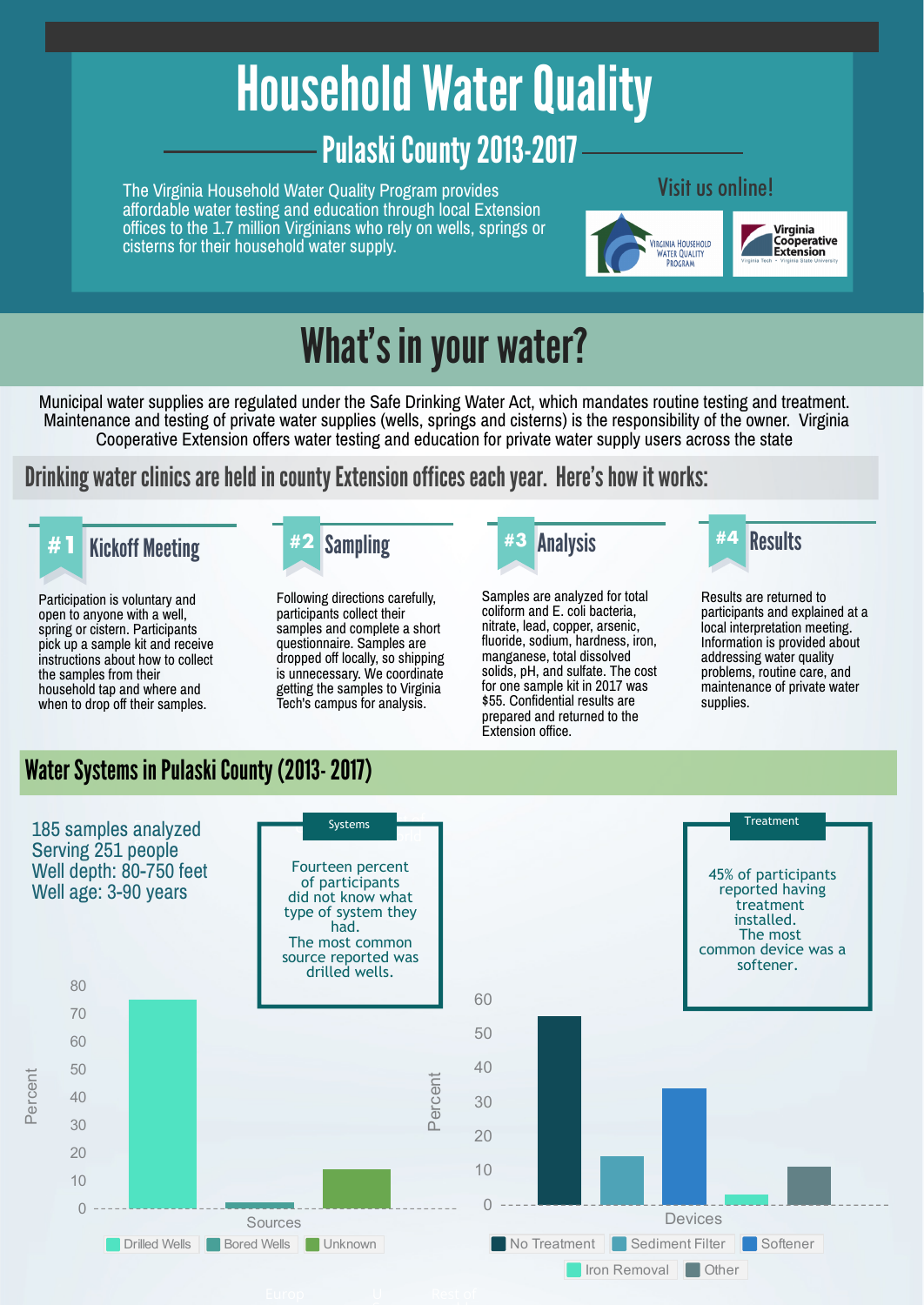# Household Water Quality Pulaski County 2013-2017

The Virginia Household Water Quality Program provides affordable water testing and education through local Extension offices to the 1.7 million Virginians who rely on wells, springs or cisterns for their household water supply.

#### Visit us online!



## What's in your water?

Municipal water supplies are regulated under the Safe Drinking Water Act, which mandates routine testing and treatment. Maintenance and testing of private water supplies (wells, springs and cisterns) is the responsibility of the owner. Virginia Cooperative Extension offers water testing and education for private water supply users across the state

### Drinking water clinics are held in county Extension offices each year. Here's how it works:

## **#1** Kickoff Meeting **#2** Sampling **#3** Analysis Results **#4**

Participation is voluntary and open to anyone with a well, spring or cistern. Participants pick up a sample kit and receive instructions about how to collect the samples from their household tap and where and when to drop off their samples.



Following directions carefully, participants collect their samples and complete a short questionnaire. Samples are dropped off locally, so shipping is unnecessary. We coordinate getting the samples to Virginia Tech's campus for analysis.



Samples are analyzed for total coliform and E. coli bacteria, nitrate, lead, copper, arsenic, fluoride, sodium, hardness, iron, manganese, total dissolved solids, pH, and sulfate. The cost for one sample kit in 2017 was \$55. Confidential results are prepared and returned to the Extension office.



Results are returned to participants and explained at a local interpretation meeting. Information is provided about addressing water quality problems, routine care, and maintenance of private water supplies.

### Water Systems in Pulaski County (2013- 2017)